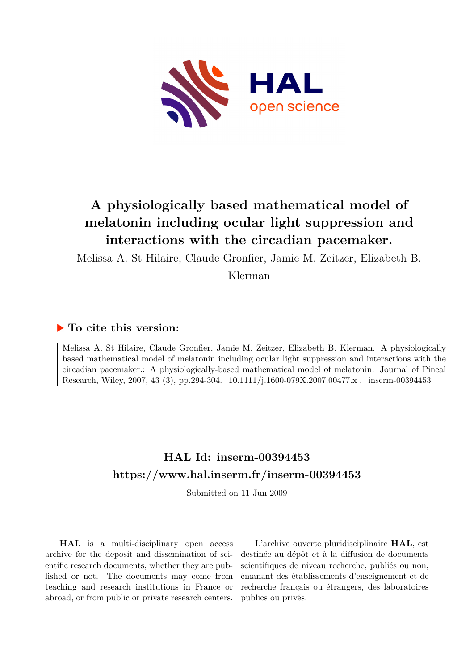

# **A physiologically based mathematical model of melatonin including ocular light suppression and interactions with the circadian pacemaker.**

Melissa A. St Hilaire, Claude Gronfier, Jamie M. Zeitzer, Elizabeth B.

Klerman

# **To cite this version:**

Melissa A. St Hilaire, Claude Gronfier, Jamie M. Zeitzer, Elizabeth B. Klerman. A physiologically based mathematical model of melatonin including ocular light suppression and interactions with the circadian pacemaker.: A physiologically-based mathematical model of melatonin. Journal of Pineal Research, Wiley, 2007, 43 (3), pp.294-304.  $10.1111/j.1600-079X.2007.00477.x$ . inserm-00394453

# **HAL Id: inserm-00394453 <https://www.hal.inserm.fr/inserm-00394453>**

Submitted on 11 Jun 2009

**HAL** is a multi-disciplinary open access archive for the deposit and dissemination of scientific research documents, whether they are published or not. The documents may come from teaching and research institutions in France or abroad, or from public or private research centers.

L'archive ouverte pluridisciplinaire **HAL**, est destinée au dépôt et à la diffusion de documents scientifiques de niveau recherche, publiés ou non, émanant des établissements d'enseignement et de recherche français ou étrangers, des laboratoires publics ou privés.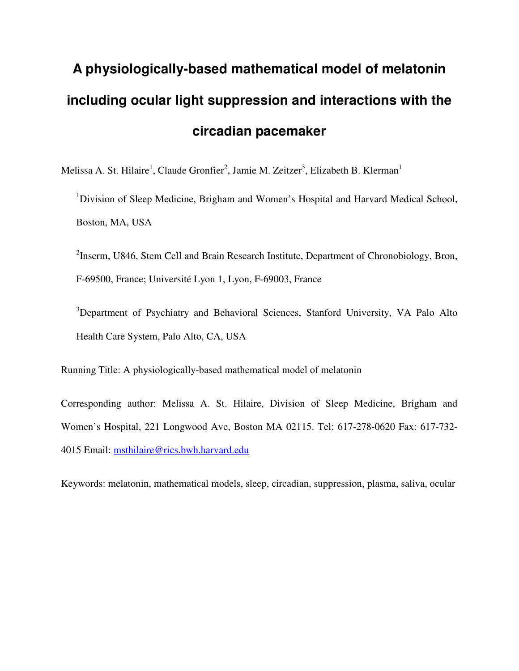# **A physiologically-based mathematical model of melatonin including ocular light suppression and interactions with the circadian pacemaker**

Melissa A. St. Hilaire<sup>1</sup>, Claude Gronfier<sup>2</sup>, Jamie M. Zeitzer<sup>3</sup>, Elizabeth B. Klerman<sup>1</sup> <sup>1</sup>Division of Sleep Medicine, Brigham and Women's Hospital and Harvard Medical School, Boston, MA, USA

 $2$ Inserm, U846, Stem Cell and Brain Research Institute, Department of Chronobiology, Bron, F-69500, France; Université Lyon 1, Lyon, F-69003, France

<sup>3</sup>Department of Psychiatry and Behavioral Sciences, Stanford University, VA Palo Alto Health Care System, Palo Alto, CA, USA

Running Title: A physiologically-based mathematical model of melatonin

Corresponding author: Melissa A. St. Hilaire, Division of Sleep Medicine, Brigham and Women's Hospital, 221 Longwood Ave, Boston MA 02115. Tel: 617-278-0620 Fax: 617-732- 4015 Email: msthilaire@rics.bwh.harvard.edu

Keywords: melatonin, mathematical models, sleep, circadian, suppression, plasma, saliva, ocular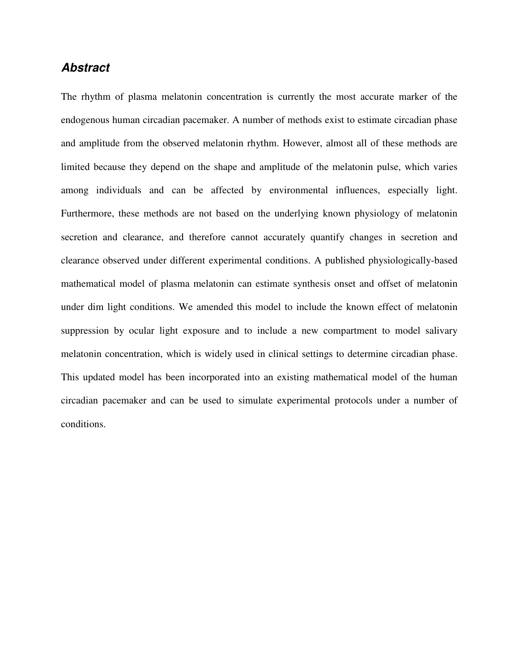## **Abstract**

The rhythm of plasma melatonin concentration is currently the most accurate marker of the endogenous human circadian pacemaker. A number of methods exist to estimate circadian phase and amplitude from the observed melatonin rhythm. However, almost all of these methods are limited because they depend on the shape and amplitude of the melatonin pulse, which varies among individuals and can be affected by environmental influences, especially light. Furthermore, these methods are not based on the underlying known physiology of melatonin secretion and clearance, and therefore cannot accurately quantify changes in secretion and clearance observed under different experimental conditions. A published physiologically-based mathematical model of plasma melatonin can estimate synthesis onset and offset of melatonin under dim light conditions. We amended this model to include the known effect of melatonin suppression by ocular light exposure and to include a new compartment to model salivary melatonin concentration, which is widely used in clinical settings to determine circadian phase. This updated model has been incorporated into an existing mathematical model of the human circadian pacemaker and can be used to simulate experimental protocols under a number of conditions.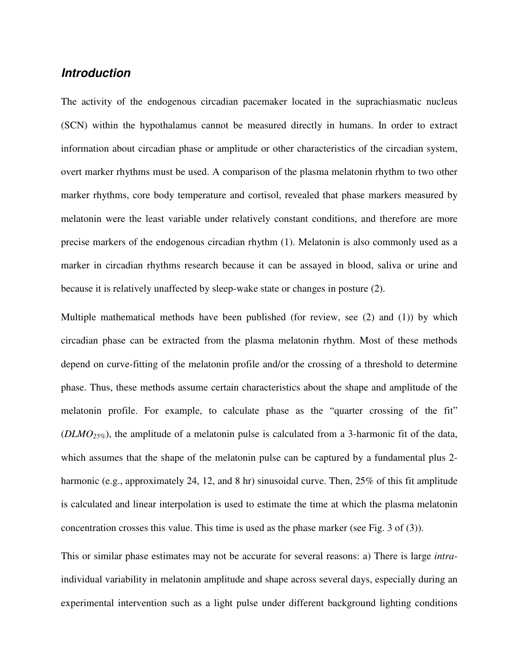## **Introduction**

The activity of the endogenous circadian pacemaker located in the suprachiasmatic nucleus (SCN) within the hypothalamus cannot be measured directly in humans. In order to extract information about circadian phase or amplitude or other characteristics of the circadian system, overt marker rhythms must be used. A comparison of the plasma melatonin rhythm to two other marker rhythms, core body temperature and cortisol, revealed that phase markers measured by melatonin were the least variable under relatively constant conditions, and therefore are more precise markers of the endogenous circadian rhythm (1). Melatonin is also commonly used as a marker in circadian rhythms research because it can be assayed in blood, saliva or urine and because it is relatively unaffected by sleep-wake state or changes in posture (2).

Multiple mathematical methods have been published (for review, see (2) and (1)) by which circadian phase can be extracted from the plasma melatonin rhythm. Most of these methods depend on curve-fitting of the melatonin profile and/or the crossing of a threshold to determine phase. Thus, these methods assume certain characteristics about the shape and amplitude of the melatonin profile. For example, to calculate phase as the "quarter crossing of the fit" (*DLMO25%*), the amplitude of a melatonin pulse is calculated from a 3-harmonic fit of the data, which assumes that the shape of the melatonin pulse can be captured by a fundamental plus 2 harmonic (e.g., approximately 24, 12, and 8 hr) sinusoidal curve. Then, 25% of this fit amplitude is calculated and linear interpolation is used to estimate the time at which the plasma melatonin concentration crosses this value. This time is used as the phase marker (see Fig. 3 of (3)).

This or similar phase estimates may not be accurate for several reasons: a) There is large *intra*individual variability in melatonin amplitude and shape across several days, especially during an experimental intervention such as a light pulse under different background lighting conditions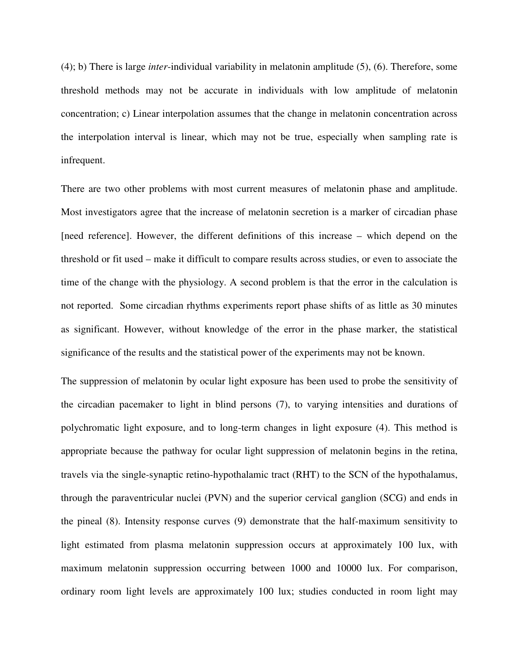(4); b) There is large *inter*-individual variability in melatonin amplitude (5), (6). Therefore, some threshold methods may not be accurate in individuals with low amplitude of melatonin concentration; c) Linear interpolation assumes that the change in melatonin concentration across the interpolation interval is linear, which may not be true, especially when sampling rate is infrequent.

There are two other problems with most current measures of melatonin phase and amplitude. Most investigators agree that the increase of melatonin secretion is a marker of circadian phase [need reference]. However, the different definitions of this increase – which depend on the threshold or fit used – make it difficult to compare results across studies, or even to associate the time of the change with the physiology. A second problem is that the error in the calculation is not reported. Some circadian rhythms experiments report phase shifts of as little as 30 minutes as significant. However, without knowledge of the error in the phase marker, the statistical significance of the results and the statistical power of the experiments may not be known.

The suppression of melatonin by ocular light exposure has been used to probe the sensitivity of the circadian pacemaker to light in blind persons (7), to varying intensities and durations of polychromatic light exposure, and to long-term changes in light exposure (4). This method is appropriate because the pathway for ocular light suppression of melatonin begins in the retina, travels via the single-synaptic retino-hypothalamic tract (RHT) to the SCN of the hypothalamus, through the paraventricular nuclei (PVN) and the superior cervical ganglion (SCG) and ends in the pineal (8). Intensity response curves (9) demonstrate that the half-maximum sensitivity to light estimated from plasma melatonin suppression occurs at approximately 100 lux, with maximum melatonin suppression occurring between 1000 and 10000 lux. For comparison, ordinary room light levels are approximately 100 lux; studies conducted in room light may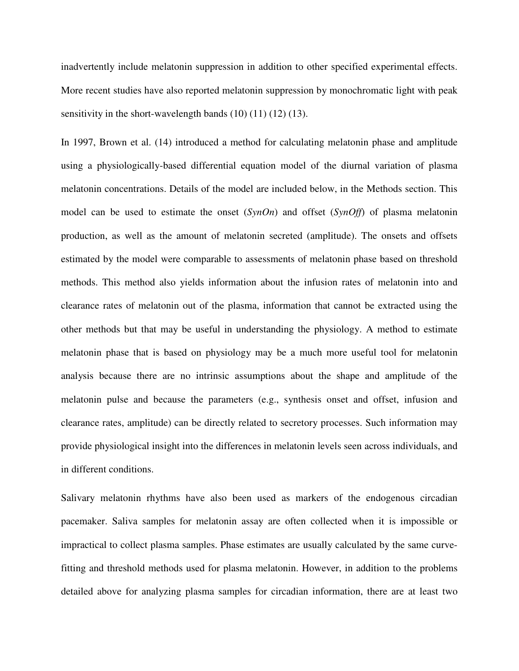inadvertently include melatonin suppression in addition to other specified experimental effects. More recent studies have also reported melatonin suppression by monochromatic light with peak sensitivity in the short-wavelength bands  $(10) (11) (12) (13)$ .

In 1997, Brown et al. (14) introduced a method for calculating melatonin phase and amplitude using a physiologically-based differential equation model of the diurnal variation of plasma melatonin concentrations. Details of the model are included below, in the Methods section. This model can be used to estimate the onset (*SynOn*) and offset (*SynOff*) of plasma melatonin production, as well as the amount of melatonin secreted (amplitude). The onsets and offsets estimated by the model were comparable to assessments of melatonin phase based on threshold methods. This method also yields information about the infusion rates of melatonin into and clearance rates of melatonin out of the plasma, information that cannot be extracted using the other methods but that may be useful in understanding the physiology. A method to estimate melatonin phase that is based on physiology may be a much more useful tool for melatonin analysis because there are no intrinsic assumptions about the shape and amplitude of the melatonin pulse and because the parameters (e.g., synthesis onset and offset, infusion and clearance rates, amplitude) can be directly related to secretory processes. Such information may provide physiological insight into the differences in melatonin levels seen across individuals, and in different conditions.

Salivary melatonin rhythms have also been used as markers of the endogenous circadian pacemaker. Saliva samples for melatonin assay are often collected when it is impossible or impractical to collect plasma samples. Phase estimates are usually calculated by the same curvefitting and threshold methods used for plasma melatonin. However, in addition to the problems detailed above for analyzing plasma samples for circadian information, there are at least two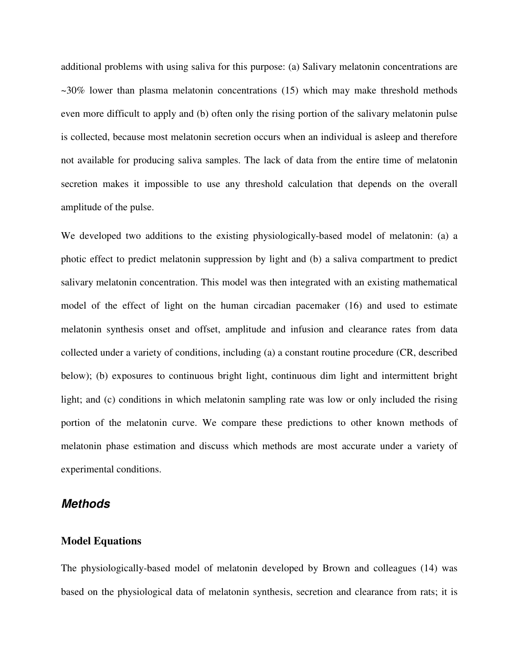additional problems with using saliva for this purpose: (a) Salivary melatonin concentrations are  $\sim$ 30% lower than plasma melatonin concentrations (15) which may make threshold methods even more difficult to apply and (b) often only the rising portion of the salivary melatonin pulse is collected, because most melatonin secretion occurs when an individual is asleep and therefore not available for producing saliva samples. The lack of data from the entire time of melatonin secretion makes it impossible to use any threshold calculation that depends on the overall amplitude of the pulse.

We developed two additions to the existing physiologically-based model of melatonin: (a) a photic effect to predict melatonin suppression by light and (b) a saliva compartment to predict salivary melatonin concentration. This model was then integrated with an existing mathematical model of the effect of light on the human circadian pacemaker (16) and used to estimate melatonin synthesis onset and offset, amplitude and infusion and clearance rates from data collected under a variety of conditions, including (a) a constant routine procedure (CR, described below); (b) exposures to continuous bright light, continuous dim light and intermittent bright light; and (c) conditions in which melatonin sampling rate was low or only included the rising portion of the melatonin curve. We compare these predictions to other known methods of melatonin phase estimation and discuss which methods are most accurate under a variety of experimental conditions.

### **Methods**

#### **Model Equations**

The physiologically-based model of melatonin developed by Brown and colleagues (14) was based on the physiological data of melatonin synthesis, secretion and clearance from rats; it is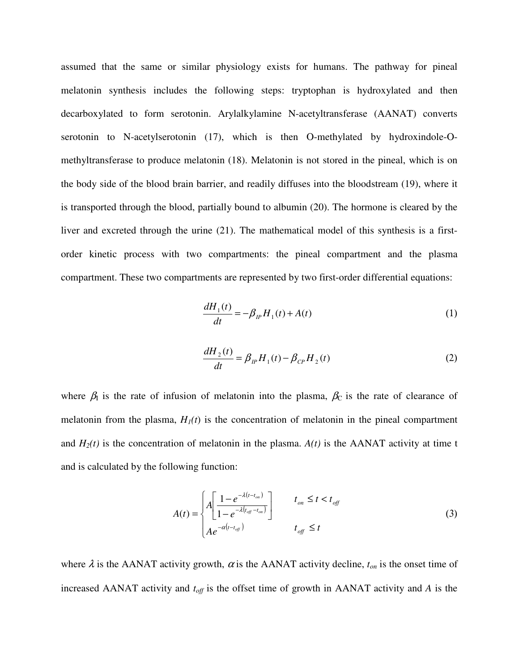assumed that the same or similar physiology exists for humans. The pathway for pineal melatonin synthesis includes the following steps: tryptophan is hydroxylated and then decarboxylated to form serotonin. Arylalkylamine N-acetyltransferase (AANAT) converts serotonin to N-acetylserotonin (17), which is then O-methylated by hydroxindole-Omethyltransferase to produce melatonin (18). Melatonin is not stored in the pineal, which is on the body side of the blood brain barrier, and readily diffuses into the bloodstream (19), where it is transported through the blood, partially bound to albumin (20). The hormone is cleared by the liver and excreted through the urine (21). The mathematical model of this synthesis is a firstorder kinetic process with two compartments: the pineal compartment and the plasma compartment. These two compartments are represented by two first-order differential equations:

$$
\frac{dH_1(t)}{dt} = -\beta_{IP} H_1(t) + A(t)
$$
\n(1)

$$
\frac{dH_2(t)}{dt} = \beta_{IP} H_1(t) - \beta_{CP} H_2(t)
$$
\n(2)

where  $\beta_1$  is the rate of infusion of melatonin into the plasma,  $\beta_c$  is the rate of clearance of melatonin from the plasma,  $H_I(t)$  is the concentration of melatonin in the pineal compartment and  $H_2(t)$  is the concentration of melatonin in the plasma.  $A(t)$  is the AANAT activity at time t and is calculated by the following function:

$$
A(t) = \begin{cases} A \left[ \frac{1 - e^{-\lambda(t - t_{on})}}{1 - e^{-\lambda(t_{off} - t_{on})}} \right] & t_{on} \le t < t_{off} \\ A e^{-\alpha(t - t_{off})} & t_{off} \le t \end{cases}
$$
(3)

where  $\lambda$  is the AANAT activity growth,  $\alpha$  is the AANAT activity decline,  $t_{on}$  is the onset time of increased AANAT activity and *toff* is the offset time of growth in AANAT activity and *A* is the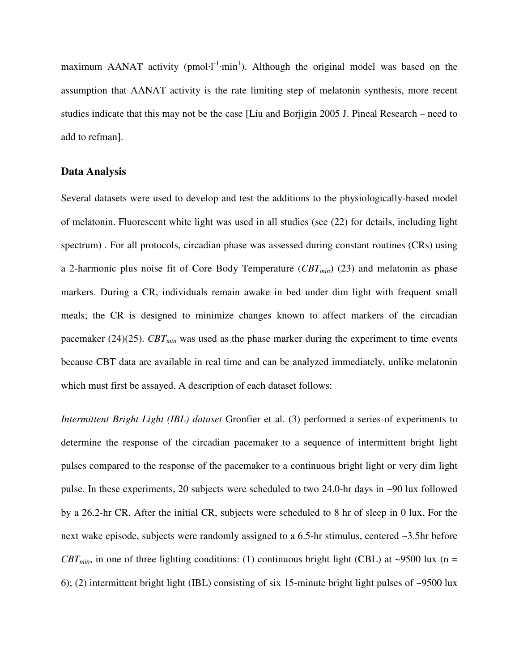maximum AANAT activity ( $pmol·l<sup>-1</sup>·min<sup>1</sup>$ ). Although the original model was based on the assumption that AANAT activity is the rate limiting step of melatonin synthesis, more recent studies indicate that this may not be the case [Liu and Borjigin 2005 J. Pineal Research – need to add to refman].

#### **Data Analysis**

Several datasets were used to develop and test the additions to the physiologically-based model of melatonin. Fluorescent white light was used in all studies (see (22) for details, including light spectrum) . For all protocols, circadian phase was assessed during constant routines (CRs) using a 2-harmonic plus noise fit of Core Body Temperature (*CBTmin*) (23) and melatonin as phase markers. During a CR, individuals remain awake in bed under dim light with frequent small meals; the CR is designed to minimize changes known to affect markers of the circadian pacemaker (24)(25). *CBTmin* was used as the phase marker during the experiment to time events because CBT data are available in real time and can be analyzed immediately, unlike melatonin which must first be assayed. A description of each dataset follows:

*Intermittent Bright Light (IBL) dataset* Gronfier et al. (3) performed a series of experiments to determine the response of the circadian pacemaker to a sequence of intermittent bright light pulses compared to the response of the pacemaker to a continuous bright light or very dim light pulse. In these experiments, 20 subjects were scheduled to two 24.0-hr days in ~90 lux followed by a 26.2-hr CR. After the initial CR, subjects were scheduled to 8 hr of sleep in 0 lux. For the next wake episode, subjects were randomly assigned to a 6.5-hr stimulus, centered ~3.5hr before  $CBT_{min}$ , in one of three lighting conditions: (1) continuous bright light (CBL) at ~9500 lux (n = 6); (2) intermittent bright light (IBL) consisting of six 15-minute bright light pulses of ~9500 lux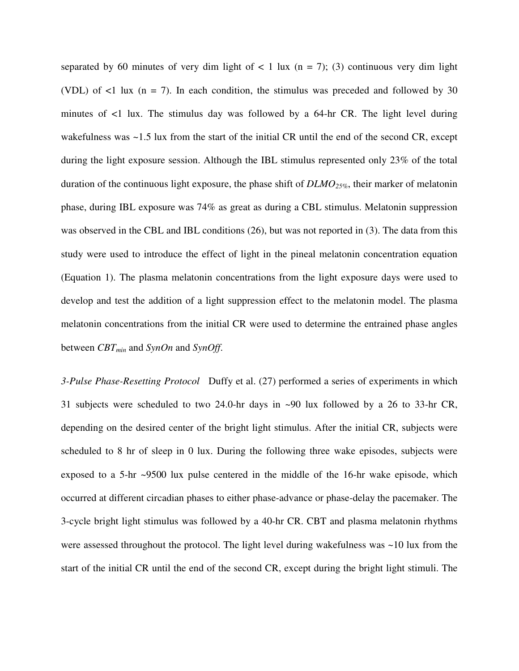separated by 60 minutes of very dim light of  $\lt 1$  lux (n = 7); (3) continuous very dim light (VDL) of  $\leq 1$  lux (n = 7). In each condition, the stimulus was preceded and followed by 30 minutes of  $\lt 1$  lux. The stimulus day was followed by a 64-hr CR. The light level during wakefulness was  $\sim$  1.5 lux from the start of the initial CR until the end of the second CR, except during the light exposure session. Although the IBL stimulus represented only 23% of the total duration of the continuous light exposure, the phase shift of *DLMO25%*, their marker of melatonin phase, during IBL exposure was 74% as great as during a CBL stimulus. Melatonin suppression was observed in the CBL and IBL conditions (26), but was not reported in (3). The data from this study were used to introduce the effect of light in the pineal melatonin concentration equation (Equation 1). The plasma melatonin concentrations from the light exposure days were used to develop and test the addition of a light suppression effect to the melatonin model. The plasma melatonin concentrations from the initial CR were used to determine the entrained phase angles between *CBTmin* and *SynOn* and *SynOff*.

*3-Pulse Phase-Resetting Protocol* Duffy et al. (27) performed a series of experiments in which 31 subjects were scheduled to two 24.0-hr days in ~90 lux followed by a 26 to 33-hr CR, depending on the desired center of the bright light stimulus. After the initial CR, subjects were scheduled to 8 hr of sleep in 0 lux. During the following three wake episodes, subjects were exposed to a 5-hr ~9500 lux pulse centered in the middle of the 16-hr wake episode, which occurred at different circadian phases to either phase-advance or phase-delay the pacemaker. The 3-cycle bright light stimulus was followed by a 40-hr CR. CBT and plasma melatonin rhythms were assessed throughout the protocol. The light level during wakefulness was ~10 lux from the start of the initial CR until the end of the second CR, except during the bright light stimuli. The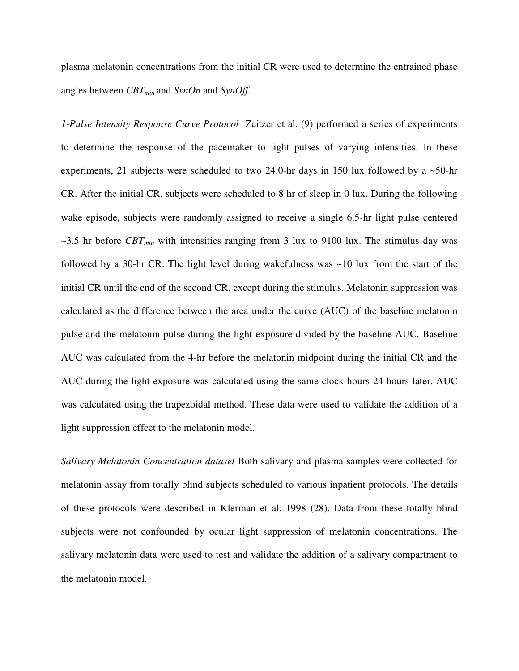plasma melatonin concentrations from the initial CR were used to determine the entrained phase angles between *CBTmin* and *SynOn* and *SynOff*.

*1-Pulse Intensity Response Curve Protocol* Zeitzer et al. (9) performed a series of experiments to determine the response of the pacemaker to light pulses of varying intensities. In these experiments, 21 subjects were scheduled to two 24.0-hr days in 150 lux followed by a  $\sim$ 50-hr CR. After the initial CR, subjects were scheduled to 8 hr of sleep in 0 lux. During the following wake episode, subjects were randomly assigned to receive a single 6.5-hr light pulse centered  $\sim$ 3.5 hr before *CBT<sub>min</sub>* with intensities ranging from 3 lux to 9100 lux. The stimulus day was followed by a 30-hr CR. The light level during wakefulness was ~10 lux from the start of the initial CR until the end of the second CR, except during the stimulus. Melatonin suppression was calculated as the difference between the area under the curve (AUC) of the baseline melatonin pulse and the melatonin pulse during the light exposure divided by the baseline AUC. Baseline AUC was calculated from the 4-hr before the melatonin midpoint during the initial CR and the AUC during the light exposure was calculated using the same clock hours 24 hours later. AUC was calculated using the trapezoidal method. These data were used to validate the addition of a light suppression effect to the melatonin model.

*Salivary Melatonin Concentration dataset* Both salivary and plasma samples were collected for melatonin assay from totally blind subjects scheduled to various inpatient protocols. The details of these protocols were described in Klerman et al. 1998 (28). Data from these totally blind subjects were not confounded by ocular light suppression of melatonin concentrations. The salivary melatonin data were used to test and validate the addition of a salivary compartment to the melatonin model.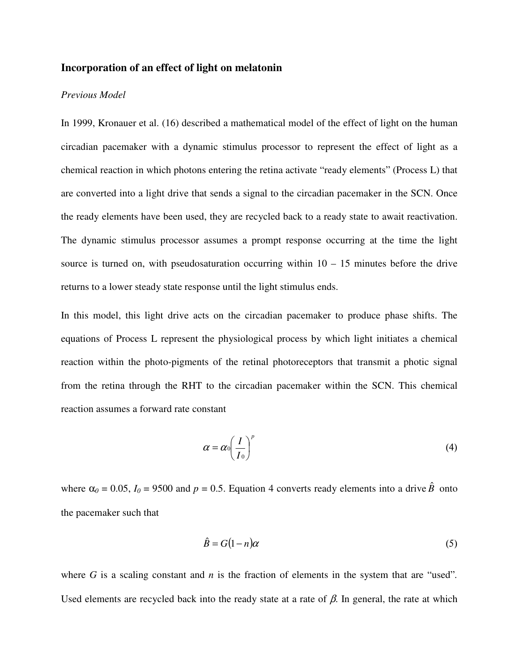#### **Incorporation of an effect of light on melatonin**

#### *Previous Model*

In 1999, Kronauer et al. (16) described a mathematical model of the effect of light on the human circadian pacemaker with a dynamic stimulus processor to represent the effect of light as a chemical reaction in which photons entering the retina activate "ready elements" (Process L) that are converted into a light drive that sends a signal to the circadian pacemaker in the SCN. Once the ready elements have been used, they are recycled back to a ready state to await reactivation. The dynamic stimulus processor assumes a prompt response occurring at the time the light source is turned on, with pseudosaturation occurring within  $10 - 15$  minutes before the drive returns to a lower steady state response until the light stimulus ends.

In this model, this light drive acts on the circadian pacemaker to produce phase shifts. The equations of Process L represent the physiological process by which light initiates a chemical reaction within the photo-pigments of the retinal photoreceptors that transmit a photic signal from the retina through the RHT to the circadian pacemaker within the SCN. This chemical reaction assumes a forward rate constant

$$
\alpha = \alpha_0 \left(\frac{I}{I_0}\right)^p \tag{4}
$$

where  $\alpha_0 = 0.05$ ,  $I_0 = 9500$  and  $p = 0.5$ . Equation 4 converts ready elements into a drive  $\hat{B}$  onto the pacemaker such that

$$
\hat{B} = G(1 - n)\alpha \tag{5}
$$

where *G* is a scaling constant and *n* is the fraction of elements in the system that are "used". Used elements are recycled back into the ready state at a rate of  $\beta$ . In general, the rate at which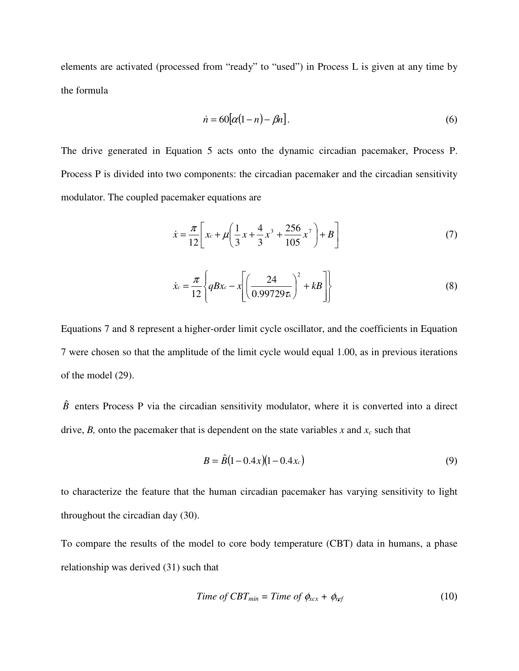elements are activated (processed from "ready" to "used") in Process L is given at any time by the formula

$$
\dot{n} = 60[\alpha(1-n) - \beta n].\tag{6}
$$

The drive generated in Equation 5 acts onto the dynamic circadian pacemaker, Process P. Process P is divided into two components: the circadian pacemaker and the circadian sensitivity modulator. The coupled pacemaker equations are

$$
\dot{x} = \frac{\pi}{12} \left[ x_c + \mu \left( \frac{1}{3} x + \frac{4}{3} x^3 + \frac{256}{105} x^7 \right) + B \right]
$$
(7)

$$
\dot{x}_c = \frac{\pi}{12} \left\{ qBx_c - x \left[ \left( \frac{24}{0.99729 \tau_x} \right)^2 + kB \right] \right\} \tag{8}
$$

Equations 7 and 8 represent a higher-order limit cycle oscillator, and the coefficients in Equation 7 were chosen so that the amplitude of the limit cycle would equal 1.00, as in previous iterations of the model (29).

 $\hat{B}$  enters Process P via the circadian sensitivity modulator, where it is converted into a direct drive, *B*, onto the pacemaker that is dependent on the state variables *x* and  $x_c$  such that

$$
B = \hat{B}(1 - 0.4x)(1 - 0.4x_c)
$$
\n(9)

to characterize the feature that the human circadian pacemaker has varying sensitivity to light throughout the circadian day (30).

To compare the results of the model to core body temperature (CBT) data in humans, a phase relationship was derived (31) such that

$$
Time of CBT_{min} = Time of \phi_{\text{xcx}} + \phi_{\text{ref}} \tag{10}
$$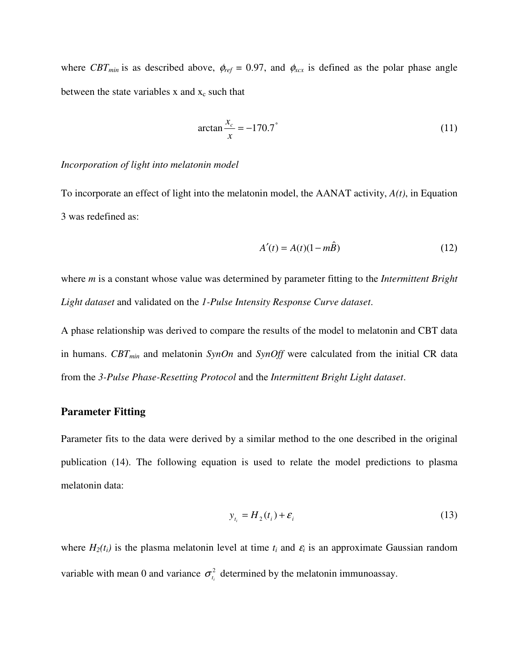where  $CBT_{min}$  is as described above,  $\phi_{ref} = 0.97$ , and  $\phi_{xxx}$  is defined as the polar phase angle between the state variables x and  $x_c$  such that

$$
\arctan\frac{x_c}{x} = -170.7^{\circ} \tag{11}
$$

#### *Incorporation of light into melatonin model*

To incorporate an effect of light into the melatonin model, the AANAT activity, *A(t)*, in Equation 3 was redefined as:

$$
A'(t) = A(t)(1 - m\hat{B})\tag{12}
$$

where *m* is a constant whose value was determined by parameter fitting to the *Intermittent Bright Light dataset* and validated on the *1-Pulse Intensity Response Curve dataset*.

A phase relationship was derived to compare the results of the model to melatonin and CBT data in humans. *CBTmin* and melatonin *SynOn* and *SynOff* were calculated from the initial CR data from the *3-Pulse Phase-Resetting Protocol* and the *Intermittent Bright Light dataset*.

#### **Parameter Fitting**

Parameter fits to the data were derived by a similar method to the one described in the original publication (14). The following equation is used to relate the model predictions to plasma melatonin data:

$$
y_{t_i} = H_2(t_i) + \varepsilon_i \tag{13}
$$

where  $H_2(t_i)$  is the plasma melatonin level at time  $t_i$  and  $\varepsilon_i$  is an approximate Gaussian random variable with mean 0 and variance  $\sigma_{t_i}^2$  determined by the melatonin immunoassay.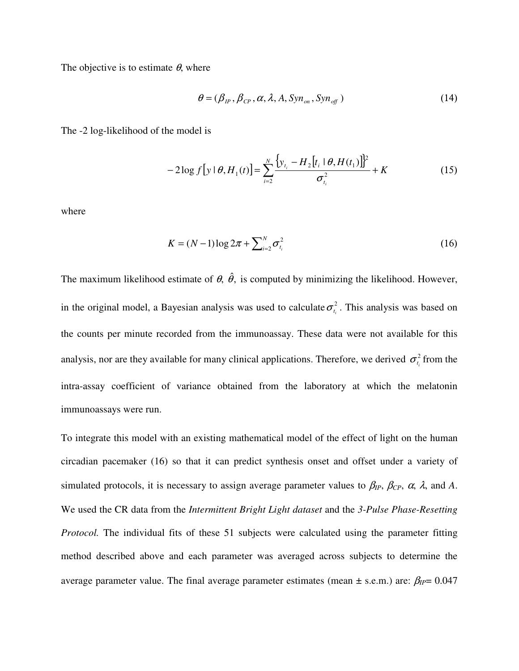The objective is to estimate  $\theta$ , where

$$
\theta = (\beta_{IP}, \beta_{CP}, \alpha, \lambda, A, \text{Syn}_{\text{on}}, \text{Syn}_{\text{off}})
$$
\n(14)

The -2 log-likelihood of the model is

$$
-2\log f[y \mid \theta, H_1(t)] = \sum_{i=2}^{N} \frac{\left\{y_{t_i} - H_2[t_i \mid \theta, H(t_1)]\right\}^2}{\sigma_{t_i}^2} + K
$$
(15)

where

$$
K = (N-1)\log 2\pi + \sum_{i=2}^{N} \sigma_{t_i}^2
$$
 (16)

The maximum likelihood estimate of  $\theta$ ,  $\hat{\theta}$ , is computed by minimizing the likelihood. However, in the original model, a Bayesian analysis was used to calculate  $\sigma_{t_i}^2$ . This analysis was based on the counts per minute recorded from the immunoassay. These data were not available for this analysis, nor are they available for many clinical applications. Therefore, we derived  $\sigma_{t_i}^2$  from the intra-assay coefficient of variance obtained from the laboratory at which the melatonin immunoassays were run.

To integrate this model with an existing mathematical model of the effect of light on the human circadian pacemaker (16) so that it can predict synthesis onset and offset under a variety of simulated protocols, it is necessary to assign average parameter values to  $\beta_{IP}$ ,  $\beta_{CP}$ ,  $\alpha$ ,  $\lambda$ , and A. We used the CR data from the *Intermittent Bright Light dataset* and the *3-Pulse Phase-Resetting Protocol.* The individual fits of these 51 subjects were calculated using the parameter fitting method described above and each parameter was averaged across subjects to determine the average parameter value. The final average parameter estimates (mean  $\pm$  s.e.m.) are:  $\beta_{IP}$ = 0.047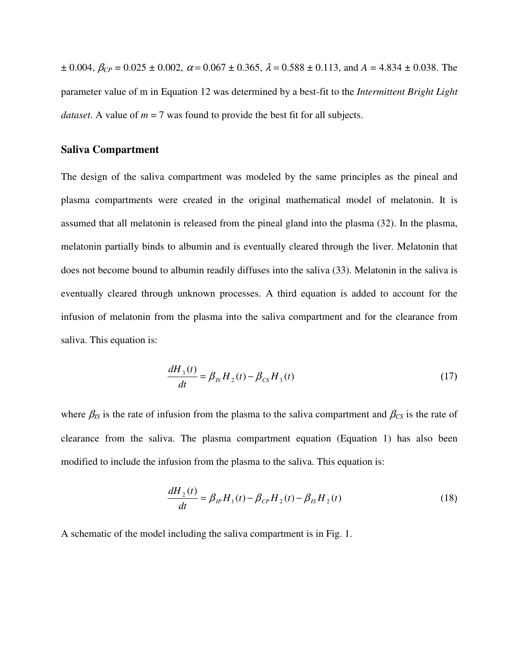$\pm$  0.004,  $\beta_{CP}$  = 0.025  $\pm$  0.002,  $\alpha$  = 0.067  $\pm$  0.365,  $\lambda$  = 0.588  $\pm$  0.113, and  $A$  = 4.834  $\pm$  0.038. The parameter value of m in Equation 12 was determined by a best-fit to the *Intermittent Bright Light dataset*. A value of  $m = 7$  was found to provide the best fit for all subjects.

#### **Saliva Compartment**

The design of the saliva compartment was modeled by the same principles as the pineal and plasma compartments were created in the original mathematical model of melatonin. It is assumed that all melatonin is released from the pineal gland into the plasma (32). In the plasma, melatonin partially binds to albumin and is eventually cleared through the liver. Melatonin that does not become bound to albumin readily diffuses into the saliva (33). Melatonin in the saliva is eventually cleared through unknown processes. A third equation is added to account for the infusion of melatonin from the plasma into the saliva compartment and for the clearance from saliva. This equation is:

$$
\frac{dH_3(t)}{dt} = \beta_{IS} H_2(t) - \beta_{CS} H_3(t)
$$
\n(17)

where  $\beta_{IS}$  is the rate of infusion from the plasma to the saliva compartment and  $\beta_{CS}$  is the rate of clearance from the saliva. The plasma compartment equation (Equation 1) has also been modified to include the infusion from the plasma to the saliva. This equation is:

$$
\frac{dH_2(t)}{dt} = \beta_{IP} H_1(t) - \beta_{CP} H_2(t) - \beta_{IS} H_2(t)
$$
\n(18)

A schematic of the model including the saliva compartment is in Fig. 1.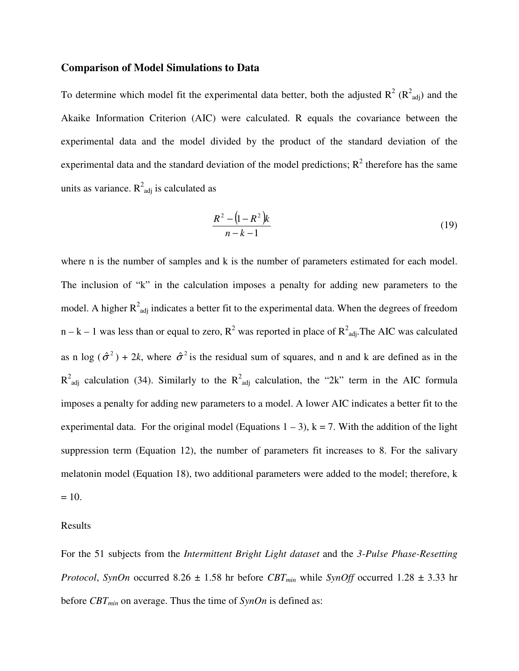#### **Comparison of Model Simulations to Data**

To determine which model fit the experimental data better, both the adjusted  $R^2 (R^2_{adj})$  and the Akaike Information Criterion (AIC) were calculated. R equals the covariance between the experimental data and the model divided by the product of the standard deviation of the experimental data and the standard deviation of the model predictions;  $R^2$  therefore has the same units as variance.  $R^2_{adj}$  is calculated as

$$
\frac{R^2 - (1 - R^2)k}{n - k - 1} \tag{19}
$$

where n is the number of samples and k is the number of parameters estimated for each model. The inclusion of "k" in the calculation imposes a penalty for adding new parameters to the model. A higher  $R^2_{adj}$  indicates a better fit to the experimental data. When the degrees of freedom  $n - k - 1$  was less than or equal to zero,  $R^2$  was reported in place of  $R^2$ <sub>adj</sub>. The AIC was calculated as n log  $(\hat{\sigma}^2)$  + 2*k*, where  $\hat{\sigma}^2$  is the residual sum of squares, and n and k are defined as in the  $R^2$ <sub>adj</sub> calculation (34). Similarly to the  $R^2$ <sub>adj</sub> calculation, the "2k" term in the AIC formula imposes a penalty for adding new parameters to a model. A lower AIC indicates a better fit to the experimental data. For the original model (Equations  $1 - 3$ ),  $k = 7$ . With the addition of the light suppression term (Equation 12), the number of parameters fit increases to 8. For the salivary melatonin model (Equation 18), two additional parameters were added to the model; therefore, k  $= 10.$ 

#### Results

For the 51 subjects from the *Intermittent Bright Light dataset* and the *3-Pulse Phase-Resetting Protocol, SynOn* occurred 8.26  $\pm$  1.58 hr before *CBT<sub>min</sub>* while *SynOff* occurred 1.28  $\pm$  3.33 hr before *CBTmin* on average. Thus the time of *SynOn* is defined as: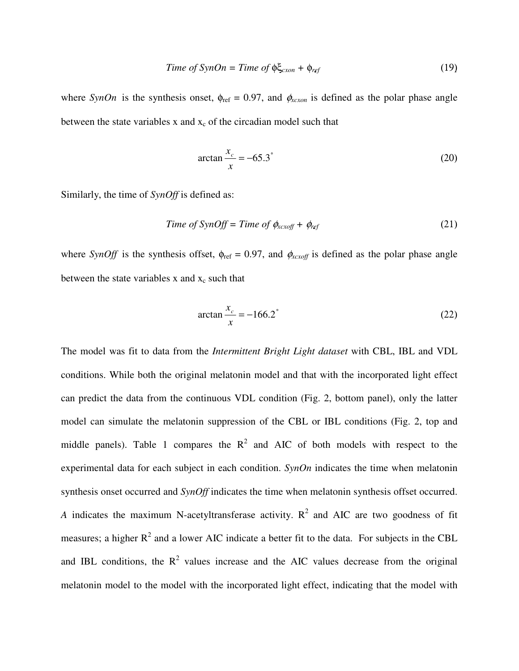$$
Time of SynOn = Time of \phi \xi_{\text{exon}} + \phi_{\text{ref}} \tag{19}
$$

where *SynOn* is the synthesis onset,  $\phi_{ref} = 0.97$ , and  $\phi_{x\text{c}x\text{on}}$  is defined as the polar phase angle between the state variables x and  $x_c$  of the circadian model such that

$$
\arctan\frac{x_c}{x} = -65.3^{\circ}
$$
 (20)

Similarly, the time of *SynOff* is defined as:

$$
Time of SynOff = Time of \phi_{xcxoff} + \phi_{ref}
$$
\n(21)

where *SynOff* is the synthesis offset,  $\phi_{ref} = 0.97$ , and  $\phi_{xc\text{off}}$  is defined as the polar phase angle between the state variables  $x$  and  $x_c$  such that

$$
\arctan\frac{x_c}{x} = -166.2^{\circ}
$$
 (22)

The model was fit to data from the *Intermittent Bright Light dataset* with CBL, IBL and VDL conditions. While both the original melatonin model and that with the incorporated light effect can predict the data from the continuous VDL condition (Fig. 2, bottom panel), only the latter model can simulate the melatonin suppression of the CBL or IBL conditions (Fig. 2, top and middle panels). Table 1 compares the  $R^2$  and AIC of both models with respect to the experimental data for each subject in each condition. *SynOn* indicates the time when melatonin synthesis onset occurred and *SynOff* indicates the time when melatonin synthesis offset occurred. *A* indicates the maximum N-acetyltransferase activity.  $R^2$  and AIC are two goodness of fit measures; a higher  $R^2$  and a lower AIC indicate a better fit to the data. For subjects in the CBL and IBL conditions, the  $R^2$  values increase and the AIC values decrease from the original melatonin model to the model with the incorporated light effect, indicating that the model with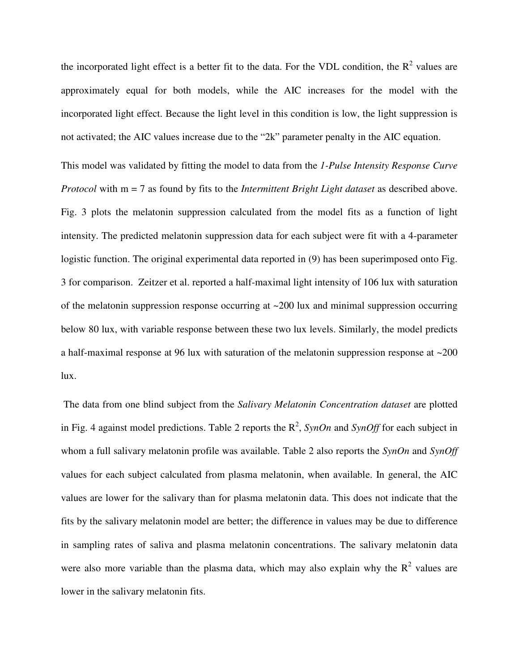the incorporated light effect is a better fit to the data. For the VDL condition, the  $R^2$  values are approximately equal for both models, while the AIC increases for the model with the incorporated light effect. Because the light level in this condition is low, the light suppression is not activated; the AIC values increase due to the "2k" parameter penalty in the AIC equation.

This model was validated by fitting the model to data from the *1-Pulse Intensity Response Curve Protocol* with m = 7 as found by fits to the *Intermittent Bright Light dataset* as described above. Fig. 3 plots the melatonin suppression calculated from the model fits as a function of light intensity. The predicted melatonin suppression data for each subject were fit with a 4-parameter logistic function. The original experimental data reported in (9) has been superimposed onto Fig. 3 for comparison. Zeitzer et al. reported a half-maximal light intensity of 106 lux with saturation of the melatonin suppression response occurring at  $\sim$  200 lux and minimal suppression occurring below 80 lux, with variable response between these two lux levels. Similarly, the model predicts a half-maximal response at 96 lux with saturation of the melatonin suppression response at ~200 lux.

 The data from one blind subject from the *Salivary Melatonin Concentration dataset* are plotted in Fig. 4 against model predictions. Table 2 reports the  $R^2$ , *SynOn* and *SynOff* for each subject in whom a full salivary melatonin profile was available. Table 2 also reports the *SynOn* and *SynOff* values for each subject calculated from plasma melatonin, when available. In general, the AIC values are lower for the salivary than for plasma melatonin data. This does not indicate that the fits by the salivary melatonin model are better; the difference in values may be due to difference in sampling rates of saliva and plasma melatonin concentrations. The salivary melatonin data were also more variable than the plasma data, which may also explain why the  $R^2$  values are lower in the salivary melatonin fits.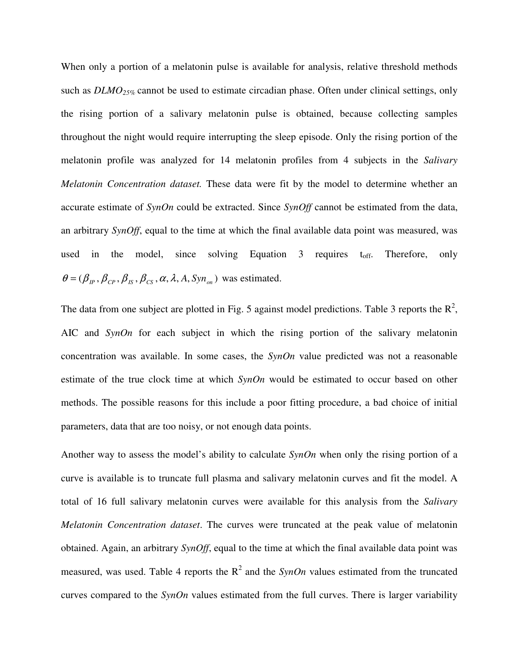When only a portion of a melatonin pulse is available for analysis, relative threshold methods such as *DLMO25%* cannot be used to estimate circadian phase. Often under clinical settings, only the rising portion of a salivary melatonin pulse is obtained, because collecting samples throughout the night would require interrupting the sleep episode. Only the rising portion of the melatonin profile was analyzed for 14 melatonin profiles from 4 subjects in the *Salivary Melatonin Concentration dataset.* These data were fit by the model to determine whether an accurate estimate of *SynOn* could be extracted. Since *SynOff* cannot be estimated from the data, an arbitrary *SynOff*, equal to the time at which the final available data point was measured, was used in the model, since solving Equation  $\beta$  requires t<sub>off</sub>. Therefore, only  $\theta = (\beta_{IP}, \beta_{CP}, \beta_{IS}, \beta_{CS}, \alpha, \lambda, A, Sym_{on})$  was estimated.

The data from one subject are plotted in Fig. 5 against model predictions. Table 3 reports the  $\mathbb{R}^2$ , AIC and *SynOn* for each subject in which the rising portion of the salivary melatonin concentration was available. In some cases, the *SynOn* value predicted was not a reasonable estimate of the true clock time at which *SynOn* would be estimated to occur based on other methods. The possible reasons for this include a poor fitting procedure, a bad choice of initial parameters, data that are too noisy, or not enough data points.

Another way to assess the model's ability to calculate *SynOn* when only the rising portion of a curve is available is to truncate full plasma and salivary melatonin curves and fit the model. A total of 16 full salivary melatonin curves were available for this analysis from the *Salivary Melatonin Concentration dataset*. The curves were truncated at the peak value of melatonin obtained. Again, an arbitrary *SynOff*, equal to the time at which the final available data point was measured, was used. Table 4 reports the  $R^2$  and the *SynOn* values estimated from the truncated curves compared to the *SynOn* values estimated from the full curves. There is larger variability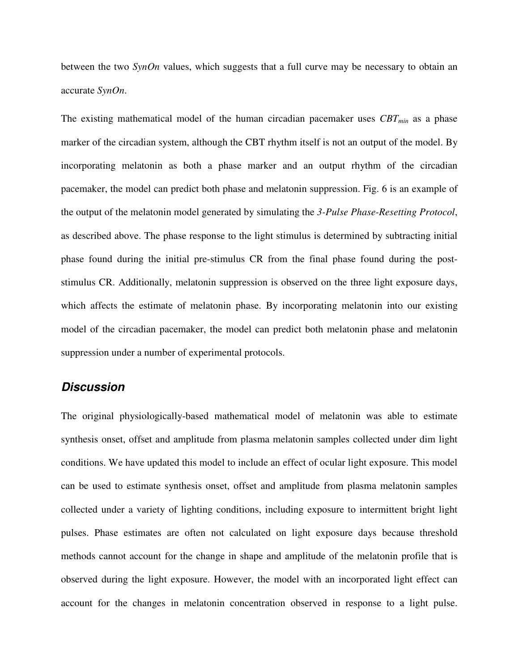between the two *SynOn* values, which suggests that a full curve may be necessary to obtain an accurate *SynOn*.

The existing mathematical model of the human circadian pacemaker uses *CBTmin* as a phase marker of the circadian system, although the CBT rhythm itself is not an output of the model. By incorporating melatonin as both a phase marker and an output rhythm of the circadian pacemaker, the model can predict both phase and melatonin suppression. Fig. 6 is an example of the output of the melatonin model generated by simulating the *3-Pulse Phase-Resetting Protocol*, as described above. The phase response to the light stimulus is determined by subtracting initial phase found during the initial pre-stimulus CR from the final phase found during the poststimulus CR. Additionally, melatonin suppression is observed on the three light exposure days, which affects the estimate of melatonin phase. By incorporating melatonin into our existing model of the circadian pacemaker, the model can predict both melatonin phase and melatonin suppression under a number of experimental protocols.

# **Discussion**

The original physiologically-based mathematical model of melatonin was able to estimate synthesis onset, offset and amplitude from plasma melatonin samples collected under dim light conditions. We have updated this model to include an effect of ocular light exposure. This model can be used to estimate synthesis onset, offset and amplitude from plasma melatonin samples collected under a variety of lighting conditions, including exposure to intermittent bright light pulses. Phase estimates are often not calculated on light exposure days because threshold methods cannot account for the change in shape and amplitude of the melatonin profile that is observed during the light exposure. However, the model with an incorporated light effect can account for the changes in melatonin concentration observed in response to a light pulse.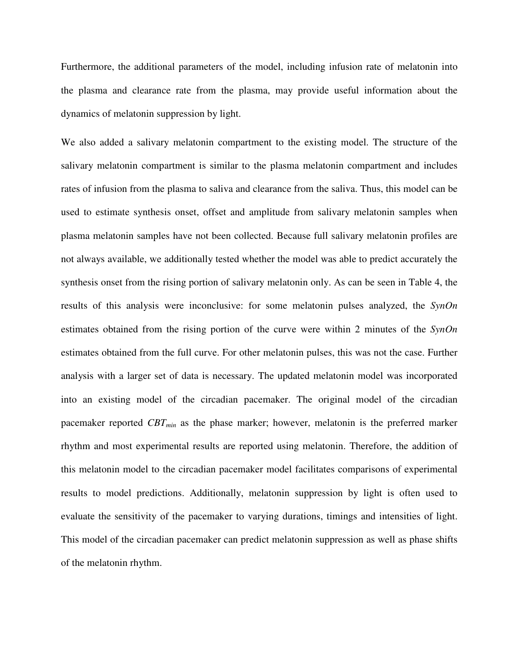Furthermore, the additional parameters of the model, including infusion rate of melatonin into the plasma and clearance rate from the plasma, may provide useful information about the dynamics of melatonin suppression by light.

We also added a salivary melatonin compartment to the existing model. The structure of the salivary melatonin compartment is similar to the plasma melatonin compartment and includes rates of infusion from the plasma to saliva and clearance from the saliva. Thus, this model can be used to estimate synthesis onset, offset and amplitude from salivary melatonin samples when plasma melatonin samples have not been collected. Because full salivary melatonin profiles are not always available, we additionally tested whether the model was able to predict accurately the synthesis onset from the rising portion of salivary melatonin only. As can be seen in Table 4, the results of this analysis were inconclusive: for some melatonin pulses analyzed, the *SynOn* estimates obtained from the rising portion of the curve were within 2 minutes of the *SynOn* estimates obtained from the full curve. For other melatonin pulses, this was not the case. Further analysis with a larger set of data is necessary. The updated melatonin model was incorporated into an existing model of the circadian pacemaker. The original model of the circadian pacemaker reported *CBTmin* as the phase marker; however, melatonin is the preferred marker rhythm and most experimental results are reported using melatonin. Therefore, the addition of this melatonin model to the circadian pacemaker model facilitates comparisons of experimental results to model predictions. Additionally, melatonin suppression by light is often used to evaluate the sensitivity of the pacemaker to varying durations, timings and intensities of light. This model of the circadian pacemaker can predict melatonin suppression as well as phase shifts of the melatonin rhythm.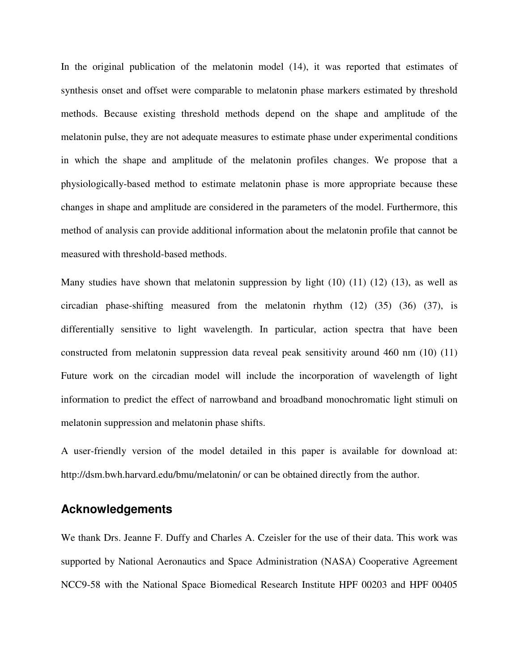In the original publication of the melatonin model (14), it was reported that estimates of synthesis onset and offset were comparable to melatonin phase markers estimated by threshold methods. Because existing threshold methods depend on the shape and amplitude of the melatonin pulse, they are not adequate measures to estimate phase under experimental conditions in which the shape and amplitude of the melatonin profiles changes. We propose that a physiologically-based method to estimate melatonin phase is more appropriate because these changes in shape and amplitude are considered in the parameters of the model. Furthermore, this method of analysis can provide additional information about the melatonin profile that cannot be measured with threshold-based methods.

Many studies have shown that melatonin suppression by light  $(10)$   $(11)$   $(12)$   $(13)$ , as well as circadian phase-shifting measured from the melatonin rhythm (12) (35) (36) (37), is differentially sensitive to light wavelength. In particular, action spectra that have been constructed from melatonin suppression data reveal peak sensitivity around 460 nm (10) (11) Future work on the circadian model will include the incorporation of wavelength of light information to predict the effect of narrowband and broadband monochromatic light stimuli on melatonin suppression and melatonin phase shifts.

A user-friendly version of the model detailed in this paper is available for download at: http://dsm.bwh.harvard.edu/bmu/melatonin/ or can be obtained directly from the author.

# **Acknowledgements**

We thank Drs. Jeanne F. Duffy and Charles A. Czeisler for the use of their data. This work was supported by National Aeronautics and Space Administration (NASA) Cooperative Agreement NCC9-58 with the National Space Biomedical Research Institute HPF 00203 and HPF 00405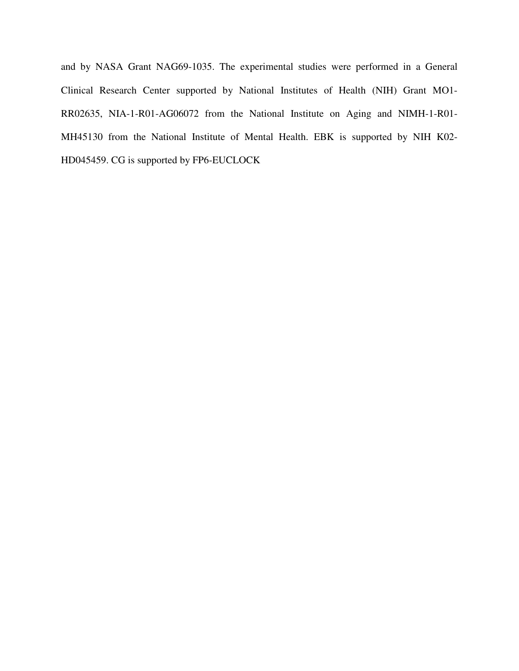and by NASA Grant NAG69-1035. The experimental studies were performed in a General Clinical Research Center supported by National Institutes of Health (NIH) Grant MO1- RR02635, NIA-1-R01-AG06072 from the National Institute on Aging and NIMH-1-R01- MH45130 from the National Institute of Mental Health. EBK is supported by NIH K02- HD045459. CG is supported by FP6-EUCLOCK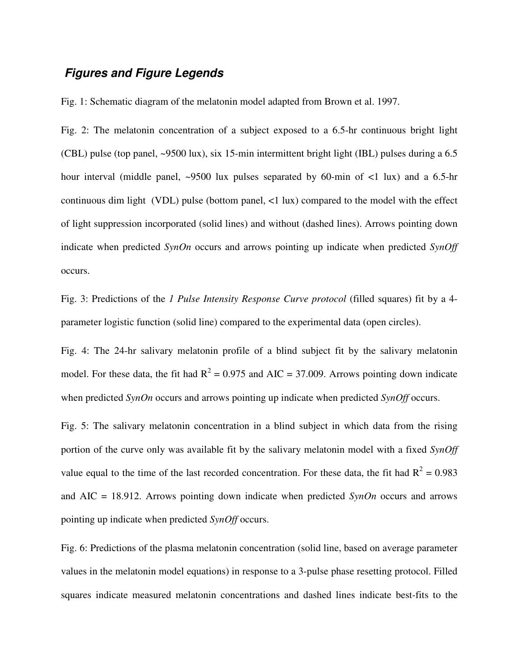# **Figures and Figure Legends**

Fig. 1: Schematic diagram of the melatonin model adapted from Brown et al. 1997.

Fig. 2: The melatonin concentration of a subject exposed to a 6.5-hr continuous bright light (CBL) pulse (top panel, ~9500 lux), six 15-min intermittent bright light (IBL) pulses during a 6.5 hour interval (middle panel, ~9500 lux pulses separated by 60-min of <1 lux) and a 6.5-hr continuous dim light (VDL) pulse (bottom panel, <1 lux) compared to the model with the effect of light suppression incorporated (solid lines) and without (dashed lines). Arrows pointing down indicate when predicted *SynOn* occurs and arrows pointing up indicate when predicted *SynOff* occurs.

Fig. 3: Predictions of the *1 Pulse Intensity Response Curve protocol* (filled squares) fit by a 4 parameter logistic function (solid line) compared to the experimental data (open circles).

Fig. 4: The 24-hr salivary melatonin profile of a blind subject fit by the salivary melatonin model. For these data, the fit had  $R^2 = 0.975$  and AIC = 37.009. Arrows pointing down indicate when predicted *SynOn* occurs and arrows pointing up indicate when predicted *SynOff* occurs.

Fig. 5: The salivary melatonin concentration in a blind subject in which data from the rising portion of the curve only was available fit by the salivary melatonin model with a fixed *SynOff* value equal to the time of the last recorded concentration. For these data, the fit had  $R^2 = 0.983$ and AIC = 18.912. Arrows pointing down indicate when predicted *SynOn* occurs and arrows pointing up indicate when predicted *SynOff* occurs.

Fig. 6: Predictions of the plasma melatonin concentration (solid line, based on average parameter values in the melatonin model equations) in response to a 3-pulse phase resetting protocol. Filled squares indicate measured melatonin concentrations and dashed lines indicate best-fits to the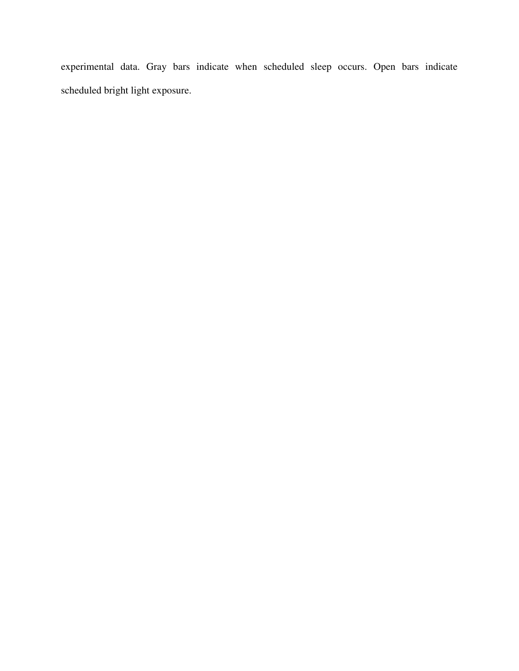experimental data. Gray bars indicate when scheduled sleep occurs. Open bars indicate scheduled bright light exposure.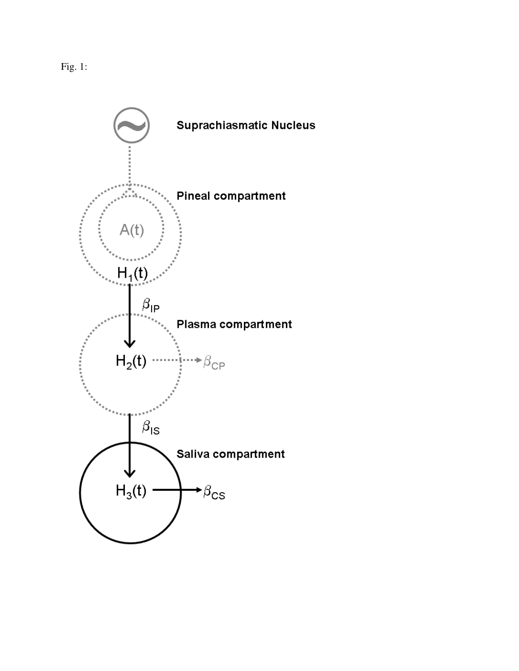Fig. 1:

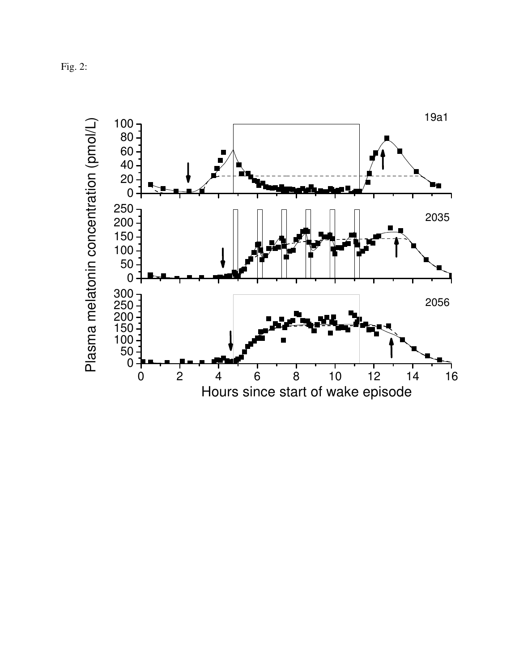Fig. 2:

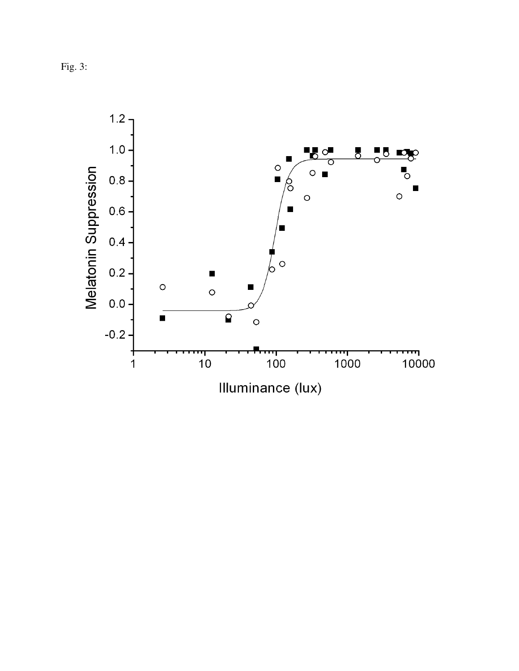Fig. 3:

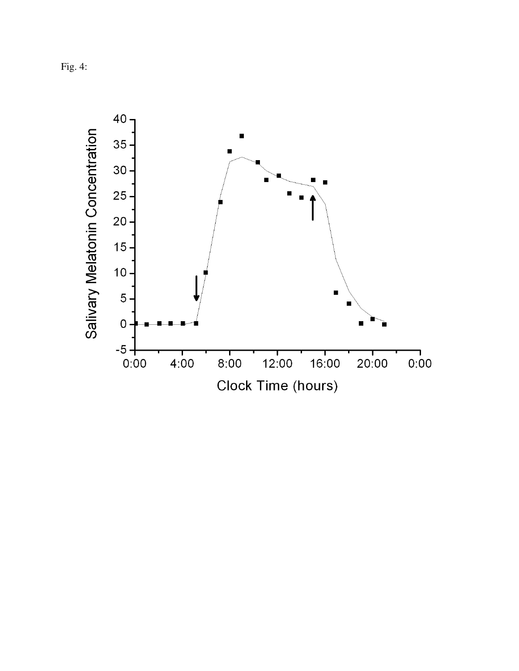Fig. 4:

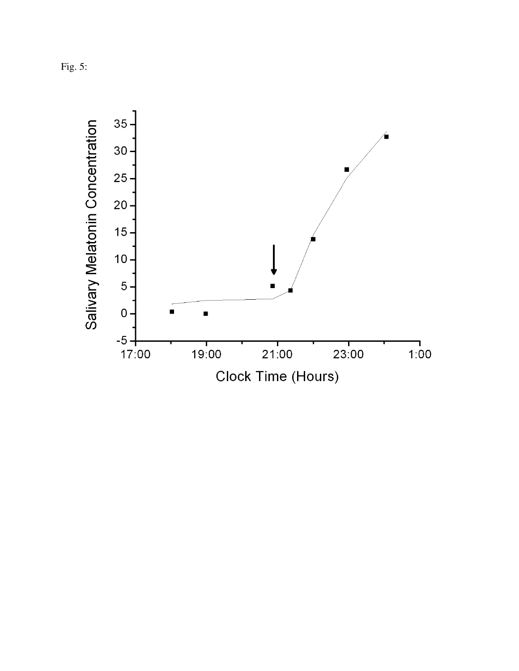Fig. 5:

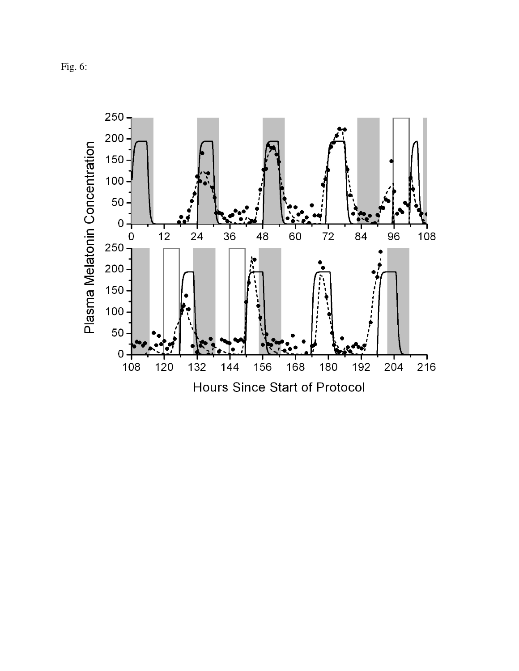Fig. 6:

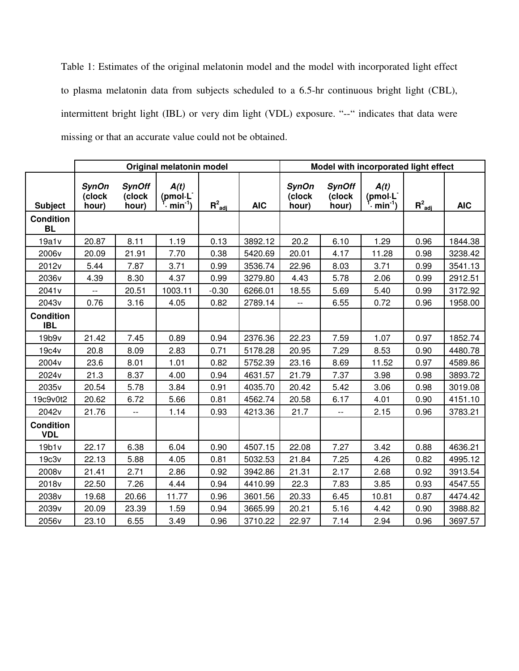Table 1: Estimates of the original melatonin model and the model with incorporated light effect to plasma melatonin data from subjects scheduled to a 6.5-hr continuous bright light (CBL), intermittent bright light (IBL) or very dim light (VDL) exposure. "--" indicates that data were missing or that an accurate value could not be obtained.

|                                | Original melatonin model        |                                  |                                                        |             |            | Model with incorporated light effect |                                  |                                            |                         |            |
|--------------------------------|---------------------------------|----------------------------------|--------------------------------------------------------|-------------|------------|--------------------------------------|----------------------------------|--------------------------------------------|-------------------------|------------|
| <b>Subject</b>                 | <b>SynOn</b><br>(clock<br>hour) | <b>SynOff</b><br>(clock<br>hour) | A(t)<br>(pmol.L<br>$\cdot \underline{\text{min}}^{-1}$ | $R^2_{adj}$ | <b>AIC</b> | <b>SynOn</b><br>(clock<br>hour)      | <b>SynOff</b><br>(clock<br>hour) | A(t)<br>(pmol.L <sup>-</sup><br>$min^{-1}$ | $R^2_{\underline{adj}}$ | <b>AIC</b> |
| <b>Condition</b><br><b>BL</b>  |                                 |                                  |                                                        |             |            |                                      |                                  |                                            |                         |            |
| 19a1v                          | 20.87                           | 8.11                             | 1.19                                                   | 0.13        | 3892.12    | 20.2                                 | 6.10                             | 1.29                                       | 0.96                    | 1844.38    |
| 2006v                          | 20.09                           | 21.91                            | 7.70                                                   | 0.38        | 5420.69    | 20.01                                | 4.17                             | 11.28                                      | 0.98                    | 3238.42    |
| 2012v                          | 5.44                            | 7.87                             | 3.71                                                   | 0.99        | 3536.74    | 22.96                                | 8.03                             | 3.71                                       | 0.99                    | 3541.13    |
| 2036v                          | 4.39                            | 8.30                             | 4.37                                                   | 0.99        | 3279.80    | 4.43                                 | 5.78                             | 2.06                                       | 0.99                    | 2912.51    |
| 2041 <sub>v</sub>              | $\overline{\phantom{a}}$        | 20.51                            | 1003.11                                                | $-0.30$     | 6266.01    | 18.55                                | 5.69                             | 5.40                                       | 0.99                    | 3172.92    |
| 2043v                          | 0.76                            | 3.16                             | 4.05                                                   | 0.82        | 2789.14    | $\overline{\phantom{a}}$             | 6.55                             | 0.72                                       | 0.96                    | 1958.00    |
| <b>Condition</b><br><b>IBL</b> |                                 |                                  |                                                        |             |            |                                      |                                  |                                            |                         |            |
| 19b9v                          | 21.42                           | 7.45                             | 0.89                                                   | 0.94        | 2376.36    | 22.23                                | 7.59                             | 1.07                                       | 0.97                    | 1852.74    |
| 19c4v                          | 20.8                            | 8.09                             | 2.83                                                   | 0.71        | 5178.28    | 20.95                                | 7.29                             | 8.53                                       | 0.90                    | 4480.78    |
| 2004 <sub>v</sub>              | 23.6                            | 8.01                             | 1.01                                                   | 0.82        | 5752.39    | 23.16                                | 8.69                             | 11.52                                      | 0.97                    | 4589.86    |
| 2024v                          | 21.3                            | 8.37                             | 4.00                                                   | 0.94        | 4631.57    | 21.79                                | 7.37                             | 3.98                                       | 0.98                    | 3893.72    |
| 2035v                          | 20.54                           | 5.78                             | 3.84                                                   | 0.91        | 4035.70    | 20.42                                | 5.42                             | 3.06                                       | 0.98                    | 3019.08    |
| 19c9v0t2                       | 20.62                           | 6.72                             | 5.66                                                   | 0.81        | 4562.74    | 20.58                                | 6.17                             | 4.01                                       | 0.90                    | 4151.10    |
| 2042v                          | 21.76                           | $-\, -$                          | 1.14                                                   | 0.93        | 4213.36    | 21.7                                 | $\overline{\phantom{a}}$         | 2.15                                       | 0.96                    | 3783.21    |
| <b>Condition</b><br><b>VDL</b> |                                 |                                  |                                                        |             |            |                                      |                                  |                                            |                         |            |
| 19b1v                          | 22.17                           | 6.38                             | 6.04                                                   | 0.90        | 4507.15    | 22.08                                | 7.27                             | 3.42                                       | 0.88                    | 4636.21    |
| 19c3v                          | 22.13                           | 5.88                             | 4.05                                                   | 0.81        | 5032.53    | 21.84                                | 7.25                             | 4.26                                       | 0.82                    | 4995.12    |
| 2008v                          | 21.41                           | 2.71                             | 2.86                                                   | 0.92        | 3942.86    | 21.31                                | 2.17                             | 2.68                                       | 0.92                    | 3913.54    |
| 2018v                          | 22.50                           | 7.26                             | 4.44                                                   | 0.94        | 4410.99    | 22.3                                 | 7.83                             | 3.85                                       | 0.93                    | 4547.55    |
| 2038v                          | 19.68                           | 20.66                            | 11.77                                                  | 0.96        | 3601.56    | 20.33                                | 6.45                             | 10.81                                      | 0.87                    | 4474.42    |
| 2039v                          | 20.09                           | 23.39                            | 1.59                                                   | 0.94        | 3665.99    | 20.21                                | 5.16                             | 4.42                                       | 0.90                    | 3988.82    |
| 2056v                          | 23.10                           | 6.55                             | 3.49                                                   | 0.96        | 3710.22    | 22.97                                | 7.14                             | 2.94                                       | 0.96                    | 3697.57    |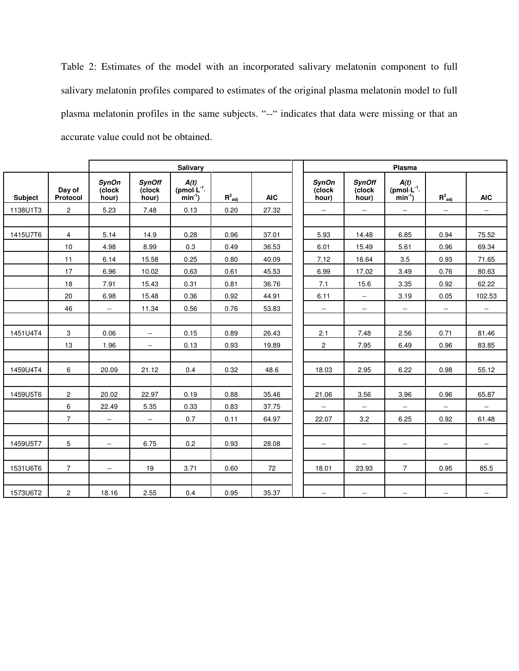Table 2: Estimates of the model with an incorporated salivary melatonin component to full salivary melatonin profiles compared to estimates of the original plasma melatonin model to full plasma melatonin profiles in the same subjects. "--" indicates that data were missing or that an accurate value could not be obtained.

|          |                    | Salivary                        |                                  |                                      |             |            | Plasma                          |                                  |                                      |               |               |
|----------|--------------------|---------------------------------|----------------------------------|--------------------------------------|-------------|------------|---------------------------------|----------------------------------|--------------------------------------|---------------|---------------|
| Subject  | Day of<br>Protocol | <b>SynOn</b><br>(clock<br>hour) | <b>SynOff</b><br>(clock<br>hour) | A(t)<br>$(pmol·L-1·$<br>$min^{-1}$ ) | $R^2_{adj}$ | <b>AIC</b> | <b>SynOn</b><br>(clock<br>hour) | <b>SynOff</b><br>(clock<br>hour) | A(t)<br>$(pmol·L-1·$<br>$min^{-1}$ ) | $R^2_{adj}$   | <b>AIC</b>    |
| 1138U1T3 | $\overline{2}$     | 5.23                            | 7.48                             | 0.13                                 | 0.20        | 27.32      | $\mathbb{H}^{\mathbb{H}}$       | $\mathbb{L}^{\mathbb{L}}$        | $\sim$                               | $\sim$ $\sim$ | $\sim$        |
|          |                    |                                 |                                  |                                      |             |            |                                 |                                  |                                      |               |               |
| 1415U7T6 | $\overline{4}$     | 5.14                            | 14.9                             | 0.28                                 | 0.96        | 37.01      | 5.93                            | 14.48                            | 6.85                                 | 0.94          | 75.52         |
|          | 10                 | 4.98                            | 8.99                             | 0.3                                  | 0.49        | 36.53      | 6.01                            | 15.49                            | 5.61                                 | 0.96          | 69.34         |
|          | 11                 | 6.14                            | 15.58                            | 0.25                                 | 0.80        | 40.09      | 7.12                            | 16.64                            | 3.5                                  | 0.93          | 71.65         |
|          | 17                 | 6.96                            | 10.02                            | 0.63                                 | 0.61        | 45.53      | 6.99                            | 17.02                            | 3.49                                 | 0.76          | 80.63         |
|          | 18                 | 7.91                            | 15.43                            | 0.31                                 | 0.81        | 36.76      | 7.1                             | 15.6                             | 3.35                                 | 0.92          | 62.22         |
|          | 20                 | 6.98                            | 15.48                            | 0.36                                 | 0.92        | 44.91      | 6.11                            | $\overline{a}$                   | 3.19                                 | 0.05          | 102.53        |
|          | 46                 | $\sim$                          | 11.34                            | 0.56                                 | 0.76        | 53.83      | $\sim$                          | $\sim$                           | $\overline{a}$                       | $\sim$        | $\sim$        |
|          |                    |                                 |                                  |                                      |             |            |                                 |                                  |                                      |               |               |
| 1451U4T4 | 3                  | 0.06                            | $\mathbb{L}^{\mathbb{L}}$        | 0.15                                 | 0.89        | 26.43      | 2.1                             | 7.48                             | 2.56                                 | 0.71          | 81.46         |
|          | 13                 | 1.96                            | $\sim$                           | 0.13                                 | 0.93        | 19.89      | $\mathbf{2}$                    | 7.95                             | 6.49                                 | 0.96          | 83.85         |
|          |                    |                                 |                                  |                                      |             |            |                                 |                                  |                                      |               |               |
| 1459U4T4 | 6                  | 20.09                           | 21.12                            | 0.4                                  | 0.32        | 48.6       | 18.03                           | 2.95                             | 6.22                                 | 0.98          | 55.12         |
|          |                    |                                 |                                  |                                      |             |            |                                 |                                  |                                      |               |               |
| 1459U5T6 | $\overline{2}$     | 20.02                           | 22.97                            | 0.19                                 | 0.88        | 35.46      | 21.06                           | 3.56                             | 3.96                                 | 0.96          | 65.87         |
|          | 6                  | 22.49                           | 5.35                             | 0.33                                 | 0.83        | 37.75      | $\sim$                          | $\sim$                           | н.                                   | $\sim$        | $\sim$        |
|          | $\overline{7}$     | $\sim$                          | $\sim$                           | 0.7                                  | 0.11        | 64.97      | 22.07                           | 3.2                              | 6.25                                 | 0.92          | 61.48         |
|          |                    |                                 |                                  |                                      |             |            |                                 |                                  |                                      |               |               |
| 1459U5T7 | 5                  | $\sim$                          | 6.75                             | 0.2                                  | 0.93        | 28.08      | $\sim$                          | $\sim$                           | $\sim$ $-$                           | $\sim$        | $\sim$ $\sim$ |
|          |                    |                                 |                                  |                                      |             |            |                                 |                                  |                                      |               |               |
| 1531U6T6 | $\overline{7}$     | $\sim$                          | 19                               | 3.71                                 | 0.60        | 72         | 18.01                           | 23.93                            | $\overline{7}$                       | 0.95          | 85.5          |
|          |                    |                                 |                                  |                                      |             |            |                                 |                                  |                                      |               |               |
| 1573U6T2 | $\overline{c}$     | 18.16                           | 2.55                             | 0.4                                  | 0.95        | 35.37      | $\sim$                          | н.                               | н.                                   | $\sim$        | $\sim$        |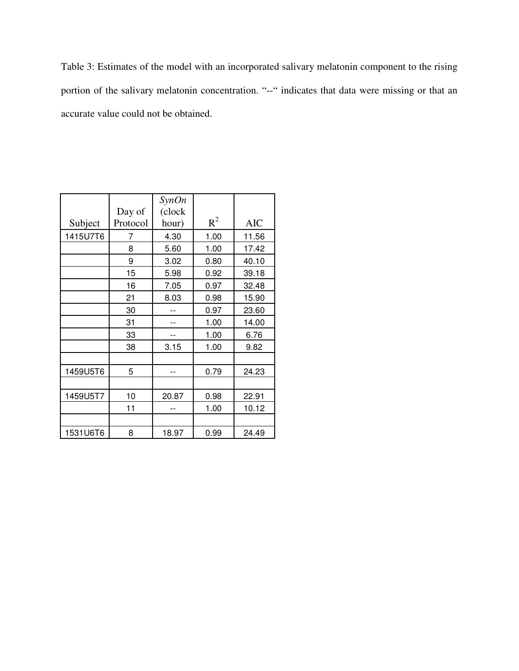Table 3: Estimates of the model with an incorporated salivary melatonin component to the rising portion of the salivary melatonin concentration. "--" indicates that data were missing or that an accurate value could not be obtained.

|          | Day of   | SynOn<br>(clock |       |            |
|----------|----------|-----------------|-------|------------|
| Subject  | Protocol | hour)           | $R^2$ | <b>AIC</b> |
| 1415U7T6 | 7        | 4.30            | 1.00  | 11.56      |
|          | 8        | 5.60            | 1.00  | 17.42      |
|          | 9        | 3.02            | 0.80  | 40.10      |
|          | 15       | 5.98            | 0.92  | 39.18      |
|          | 16       | 7.05            | 0.97  | 32.48      |
|          | 21       | 8.03            | 0.98  | 15.90      |
|          | 30       |                 | 0.97  | 23.60      |
|          | 31       |                 | 1.00  | 14.00      |
|          | 33       |                 | 1.00  | 6.76       |
|          | 38       | 3.15            | 1.00  | 9.82       |
|          |          |                 |       |            |
| 1459U5T6 | 5        |                 | 0.79  | 24.23      |
|          |          |                 |       |            |
| 1459U5T7 | 10       | 20.87           | 0.98  | 22.91      |
|          | 11       |                 | 1.00  | 10.12      |
|          |          |                 |       |            |
| 1531U6T6 | 8        | 18.97           | 0.99  | 24.49      |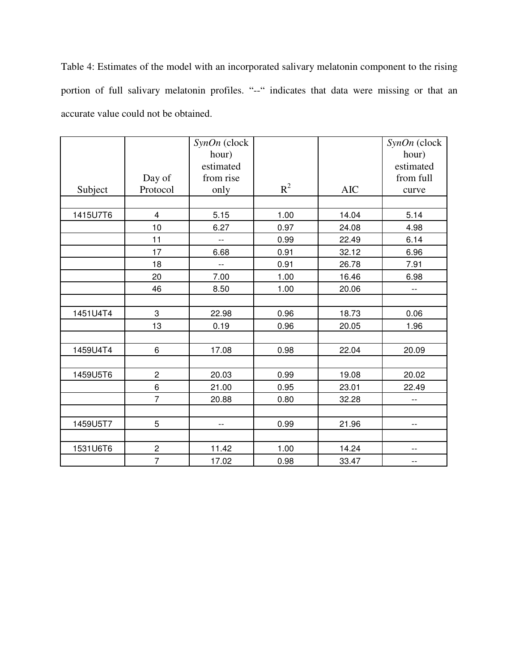Table 4: Estimates of the model with an incorporated salivary melatonin component to the rising portion of full salivary melatonin profiles. "--" indicates that data were missing or that an accurate value could not be obtained.

|          |                | SynOn (clock<br>hour)    |       |            | SynOn (clock<br>hour)    |
|----------|----------------|--------------------------|-------|------------|--------------------------|
|          |                | estimated                |       |            | estimated                |
|          | Day of         | from rise                |       |            | from full                |
| Subject  | Protocol       | only                     | $R^2$ | <b>AIC</b> | curve                    |
|          |                |                          |       |            |                          |
| 1415U7T6 | 4              | 5.15                     | 1.00  | 14.04      | 5.14                     |
|          | 10             | 6.27                     | 0.97  | 24.08      | 4.98                     |
|          | 11             | $\overline{\phantom{a}}$ | 0.99  | 22.49      | 6.14                     |
|          | 17             | 6.68                     | 0.91  | 32.12      | 6.96                     |
|          | 18             | $\overline{\phantom{a}}$ | 0.91  | 26.78      | 7.91                     |
|          | 20             | 7.00                     | 1.00  | 16.46      | 6.98                     |
|          | 46             | 8.50                     | 1.00  | 20.06      | $\overline{\phantom{a}}$ |
|          |                |                          |       |            |                          |
| 1451U4T4 | 3              | 22.98                    | 0.96  | 18.73      | 0.06                     |
|          | 13             | 0.19                     | 0.96  | 20.05      | 1.96                     |
|          |                |                          |       |            |                          |
| 1459U4T4 | 6              | 17.08                    | 0.98  | 22.04      | 20.09                    |
|          |                |                          |       |            |                          |
| 1459U5T6 | $\overline{c}$ | 20.03                    | 0.99  | 19.08      | 20.02                    |
|          | 6              | 21.00                    | 0.95  | 23.01      | 22.49                    |
|          | $\overline{7}$ | 20.88                    | 0.80  | 32.28      | $\overline{\phantom{m}}$ |
|          |                |                          |       |            |                          |
| 1459U5T7 | 5              | $-$                      | 0.99  | 21.96      | $-$                      |
|          |                |                          |       |            |                          |
| 1531U6T6 | $\overline{c}$ | 11.42                    | 1.00  | 14.24      | $-$                      |
|          | $\overline{7}$ | 17.02                    | 0.98  | 33.47      | --                       |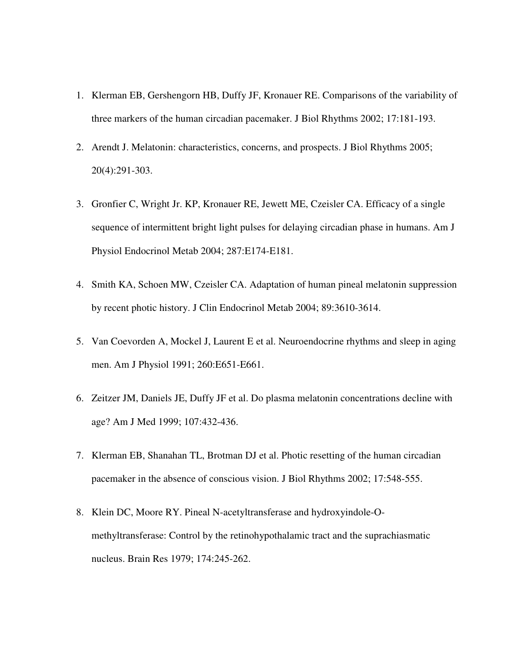- 1. Klerman EB, Gershengorn HB, Duffy JF, Kronauer RE. Comparisons of the variability of three markers of the human circadian pacemaker. J Biol Rhythms 2002; 17:181-193.
- 2. Arendt J. Melatonin: characteristics, concerns, and prospects. J Biol Rhythms 2005; 20(4):291-303.
- 3. Gronfier C, Wright Jr. KP, Kronauer RE, Jewett ME, Czeisler CA. Efficacy of a single sequence of intermittent bright light pulses for delaying circadian phase in humans. Am J Physiol Endocrinol Metab 2004; 287:E174-E181.
- 4. Smith KA, Schoen MW, Czeisler CA. Adaptation of human pineal melatonin suppression by recent photic history. J Clin Endocrinol Metab 2004; 89:3610-3614.
- 5. Van Coevorden A, Mockel J, Laurent E et al. Neuroendocrine rhythms and sleep in aging men. Am J Physiol 1991; 260:E651-E661.
- 6. Zeitzer JM, Daniels JE, Duffy JF et al. Do plasma melatonin concentrations decline with age? Am J Med 1999; 107:432-436.
- 7. Klerman EB, Shanahan TL, Brotman DJ et al. Photic resetting of the human circadian pacemaker in the absence of conscious vision. J Biol Rhythms 2002; 17:548-555.
- 8. Klein DC, Moore RY. Pineal N-acetyltransferase and hydroxyindole-Omethyltransferase: Control by the retinohypothalamic tract and the suprachiasmatic nucleus. Brain Res 1979; 174:245-262.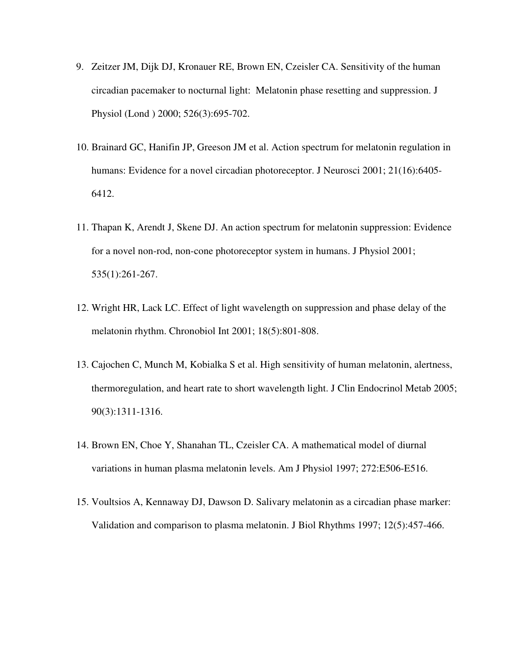- 9. Zeitzer JM, Dijk DJ, Kronauer RE, Brown EN, Czeisler CA. Sensitivity of the human circadian pacemaker to nocturnal light: Melatonin phase resetting and suppression. J Physiol (Lond ) 2000; 526(3):695-702.
- 10. Brainard GC, Hanifin JP, Greeson JM et al. Action spectrum for melatonin regulation in humans: Evidence for a novel circadian photoreceptor. J Neurosci 2001; 21(16):6405-6412.
- 11. Thapan K, Arendt J, Skene DJ. An action spectrum for melatonin suppression: Evidence for a novel non-rod, non-cone photoreceptor system in humans. J Physiol 2001; 535(1):261-267.
- 12. Wright HR, Lack LC. Effect of light wavelength on suppression and phase delay of the melatonin rhythm. Chronobiol Int 2001; 18(5):801-808.
- 13. Cajochen C, Munch M, Kobialka S et al. High sensitivity of human melatonin, alertness, thermoregulation, and heart rate to short wavelength light. J Clin Endocrinol Metab 2005; 90(3):1311-1316.
- 14. Brown EN, Choe Y, Shanahan TL, Czeisler CA. A mathematical model of diurnal variations in human plasma melatonin levels. Am J Physiol 1997; 272:E506-E516.
- 15. Voultsios A, Kennaway DJ, Dawson D. Salivary melatonin as a circadian phase marker: Validation and comparison to plasma melatonin. J Biol Rhythms 1997; 12(5):457-466.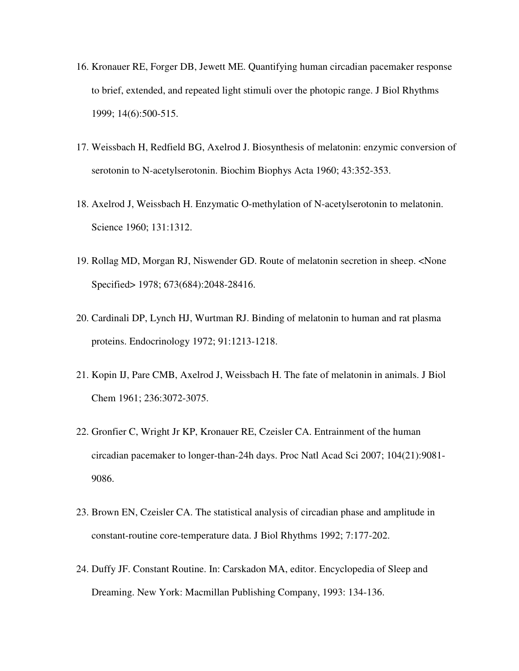- 16. Kronauer RE, Forger DB, Jewett ME. Quantifying human circadian pacemaker response to brief, extended, and repeated light stimuli over the photopic range. J Biol Rhythms 1999; 14(6):500-515.
- 17. Weissbach H, Redfield BG, Axelrod J. Biosynthesis of melatonin: enzymic conversion of serotonin to N-acetylserotonin. Biochim Biophys Acta 1960; 43:352-353.
- 18. Axelrod J, Weissbach H. Enzymatic O-methylation of N-acetylserotonin to melatonin. Science 1960; 131:1312.
- 19. Rollag MD, Morgan RJ, Niswender GD. Route of melatonin secretion in sheep. <None Specified> 1978; 673(684):2048-28416.
- 20. Cardinali DP, Lynch HJ, Wurtman RJ. Binding of melatonin to human and rat plasma proteins. Endocrinology 1972; 91:1213-1218.
- 21. Kopin IJ, Pare CMB, Axelrod J, Weissbach H. The fate of melatonin in animals. J Biol Chem 1961; 236:3072-3075.
- 22. Gronfier C, Wright Jr KP, Kronauer RE, Czeisler CA. Entrainment of the human circadian pacemaker to longer-than-24h days. Proc Natl Acad Sci 2007; 104(21):9081- 9086.
- 23. Brown EN, Czeisler CA. The statistical analysis of circadian phase and amplitude in constant-routine core-temperature data. J Biol Rhythms 1992; 7:177-202.
- 24. Duffy JF. Constant Routine. In: Carskadon MA, editor. Encyclopedia of Sleep and Dreaming. New York: Macmillan Publishing Company, 1993: 134-136.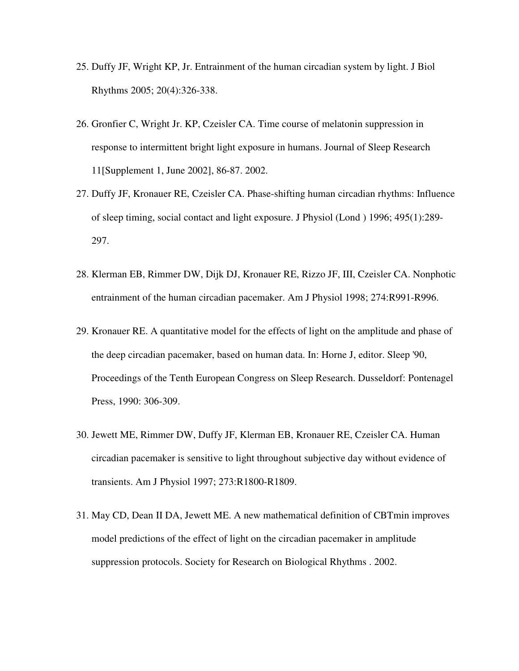- 25. Duffy JF, Wright KP, Jr. Entrainment of the human circadian system by light. J Biol Rhythms 2005; 20(4):326-338.
- 26. Gronfier C, Wright Jr. KP, Czeisler CA. Time course of melatonin suppression in response to intermittent bright light exposure in humans. Journal of Sleep Research 11[Supplement 1, June 2002], 86-87. 2002.
- 27. Duffy JF, Kronauer RE, Czeisler CA. Phase-shifting human circadian rhythms: Influence of sleep timing, social contact and light exposure. J Physiol (Lond ) 1996; 495(1):289- 297.
- 28. Klerman EB, Rimmer DW, Dijk DJ, Kronauer RE, Rizzo JF, III, Czeisler CA. Nonphotic entrainment of the human circadian pacemaker. Am J Physiol 1998; 274:R991-R996.
- 29. Kronauer RE. A quantitative model for the effects of light on the amplitude and phase of the deep circadian pacemaker, based on human data. In: Horne J, editor. Sleep '90, Proceedings of the Tenth European Congress on Sleep Research. Dusseldorf: Pontenagel Press, 1990: 306-309.
- 30. Jewett ME, Rimmer DW, Duffy JF, Klerman EB, Kronauer RE, Czeisler CA. Human circadian pacemaker is sensitive to light throughout subjective day without evidence of transients. Am J Physiol 1997; 273:R1800-R1809.
- 31. May CD, Dean II DA, Jewett ME. A new mathematical definition of CBTmin improves model predictions of the effect of light on the circadian pacemaker in amplitude suppression protocols. Society for Research on Biological Rhythms . 2002.